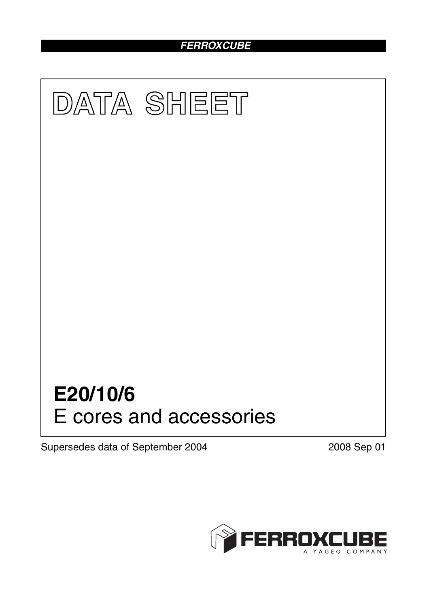# *FERROXCUBE*



Supersedes data of September 2004 2008 Sep 01

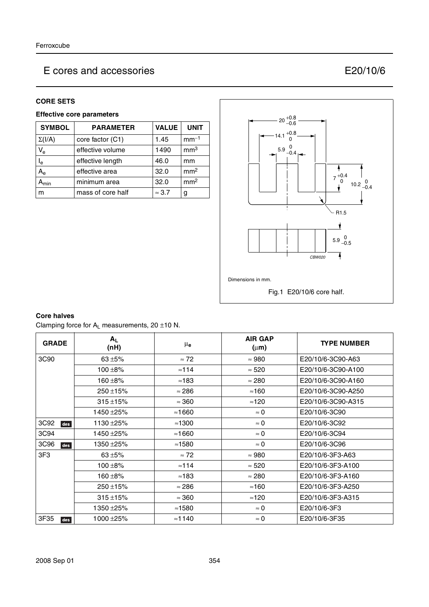## **CORE SETS**

# **Effective core parameters**

| <b>SYMBOL</b> | <b>PARAMETER</b>  | <b>VALUE</b>  | <b>UNIT</b>     |
|---------------|-------------------|---------------|-----------------|
| $\Sigma(I/A)$ | core factor (C1)  | 1.45          | $mm-1$          |
| $V_{\rm e}$   | effective volume  | 1490          | mm <sup>3</sup> |
| $I_e$         | effective length  | 46.0          | mm              |
| $A_{e}$       | effective area    | 32.0          | mm <sup>2</sup> |
| <b>\</b> min  | minimum area      | 32.0          | mm <sup>2</sup> |
| m             | mass of core half | $\approx$ 3.7 | g               |



# **Core halves**

Clamping force for  $A_L$  measurements, 20  $\pm$ 10 N.

| <b>GRADE</b> | $A_{L}$<br>(nH) | μ <sub>e</sub> | <b>AIR GAP</b><br>$(\mu m)$ | <b>TYPE NUMBER</b> |
|--------------|-----------------|----------------|-----------------------------|--------------------|
| 3C90         | 63 $±5%$        | $\approx 72$   | $\approx 980$               | E20/10/6-3C90-A63  |
|              | $100 + 8%$      | $\approx$ 114  | $\approx 520$               | E20/10/6-3C90-A100 |
|              | 160 ±8%         | $\approx$ 183  | $\approx 280$               | E20/10/6-3C90-A160 |
|              | $250 + 15%$     | $\approx$ 286  | $\approx$ 160               | E20/10/6-3C90-A250 |
|              | $315 + 15%$     | $\approx$ 360  | $\approx$ 120               | E20/10/6-3C90-A315 |
|              | 1450 ±25%       | $\approx$ 1660 | $\approx 0$                 | E20/10/6-3C90      |
| 3C92<br>des  | 1130 ± 25%      | $\approx$ 1300 | $\approx 0$                 | E20/10/6-3C92      |
| 3C94         | 1450 ±25%       | $\approx$ 1660 | $\approx 0$                 | E20/10/6-3C94      |
| 3C96<br>des  | 1350 ±25%       | ≈1580          | $\approx 0$                 | E20/10/6-3C96      |
| 3F3          | $63 + 5%$       | $\approx 72$   | $\approx 980$               | E20/10/6-3F3-A63   |
|              | $100 + 8%$      | $\approx$ 114  | $\approx 520$               | E20/10/6-3F3-A100  |
|              | $160 + 8%$      | $\approx$ 183  | $\approx 280$               | E20/10/6-3F3-A160  |
|              | $250 + 15%$     | $\approx$ 286  | $\approx$ 160               | E20/10/6-3F3-A250  |
|              | $315 + 15%$     | $\approx$ 360  | $\approx$ 120               | E20/10/6-3F3-A315  |
|              | 1350 ± 25%      | $\approx$ 1580 | $\approx 0$                 | E20/10/6-3F3       |
| 3F35<br>des  | 1000 ± 25%      | $\approx$ 1140 | $\approx 0$                 | E20/10/6-3F35      |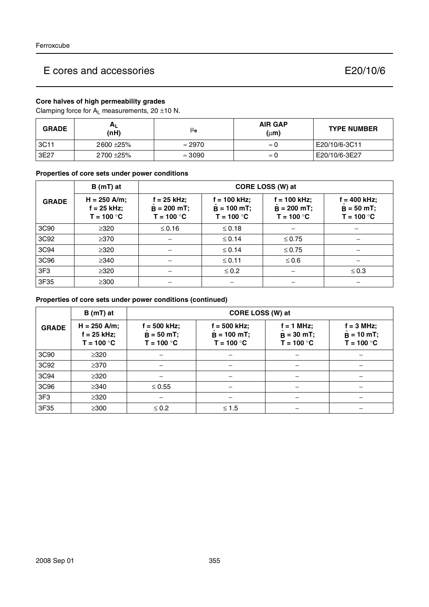# **Core halves of high permeability grades**

Clamping force for  $A_L$  measurements, 20  $\pm$ 10 N.

| <b>GRADE</b> | $A_L$<br>(nH) | μe             | <b>AIR GAP</b><br>$(\mu m)$ | <b>TYPE NUMBER</b> |
|--------------|---------------|----------------|-----------------------------|--------------------|
| 3C11         | 2600 ± 25%    | $\approx 2970$ | $\approx 0$                 | E20/10/6-3C11      |
| 3E27         | 2700 ± 25%    | $\approx 3090$ | $\approx 0$                 | E20/10/6-3E27      |

## **Properties of core sets under power conditions**

|                  | $B(mT)$ at                                      | CORE LOSS (W) at                               |                                                 |                                                 |                                                |  |
|------------------|-------------------------------------------------|------------------------------------------------|-------------------------------------------------|-------------------------------------------------|------------------------------------------------|--|
| <b>GRADE</b>     | $H = 250$ A/m;<br>$f = 25$ kHz;<br>$T = 100 °C$ | $f = 25$ kHz;<br>$B = 200$ mT;<br>$T = 100 °C$ | $f = 100$ kHz;<br>$B = 100$ mT;<br>$T = 100 °C$ | $f = 100$ kHz;<br>$B = 200$ mT;<br>$T = 100 °C$ | $f = 400$ kHz;<br>$B = 50 mT;$<br>$T = 100 °C$ |  |
| 3C <sub>90</sub> | $\geq 320$                                      | $\leq$ 0.16                                    | $\leq 0.18$                                     |                                                 |                                                |  |
| 3C92             | $\geq$ 370                                      |                                                | $\leq 0.14$                                     | $\leq 0.75$                                     |                                                |  |
| 3C94             | $\geq 320$                                      |                                                | $\leq 0.14$                                     | $\leq 0.75$                                     |                                                |  |
| 3C96             | $\geq$ 340                                      |                                                | $≤$ 0.11                                        | $\leq 0.6$                                      |                                                |  |
| 3F <sub>3</sub>  | $\geq$ 320                                      |                                                | $\leq 0.2$                                      |                                                 | $\leq 0.3$                                     |  |
| 3F35             | $\geq$ 300                                      |                                                |                                                 |                                                 |                                                |  |

# **Properties of core sets under power conditions (continued)**

|                 | $B(mT)$ at                                      | CORE LOSS (W) at                               |                                                 |                                              |                                                     |
|-----------------|-------------------------------------------------|------------------------------------------------|-------------------------------------------------|----------------------------------------------|-----------------------------------------------------|
| <b>GRADE</b>    | $H = 250$ A/m;<br>$f = 25$ kHz;<br>$T = 100 °C$ | $f = 500$ kHz;<br>$B = 50 mT;$<br>$T = 100 °C$ | $f = 500$ kHz;<br>$B = 100 mT;$<br>$T = 100 °C$ | $f = 1 MHz;$<br>$B = 30$ mT;<br>$T = 100 °C$ | $f = 3$ MHz;<br>$\ddot{B}$ = 10 mT;<br>$T = 100 °C$ |
| 3C90            | $\geq$ 320                                      |                                                |                                                 |                                              |                                                     |
| 3C92            | $\geq$ 370                                      |                                                |                                                 |                                              |                                                     |
| 3C94            | $\geq$ 320                                      |                                                |                                                 |                                              |                                                     |
| 3C96            | $\geq$ 340                                      | $\leq 0.55$                                    |                                                 | $\overline{\phantom{m}}$                     |                                                     |
| 3F <sub>3</sub> | $\geq$ 320                                      |                                                |                                                 |                                              |                                                     |
| 3F35            | $\geq$ 300                                      | $\leq 0.2$                                     | $≤ 1.5$                                         |                                              |                                                     |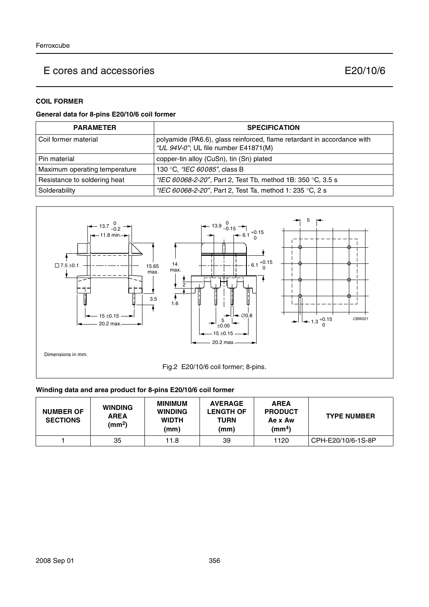# **COIL FORMER**

# **General data for 8-pins E20/10/6 coil former**

| <b>PARAMETER</b>              | <b>SPECIFICATION</b>                                                                                            |
|-------------------------------|-----------------------------------------------------------------------------------------------------------------|
| Coil former material          | polyamide (PA6.6), glass reinforced, flame retardant in accordance with<br>"UL 94V-0"; UL file number E41871(M) |
| Pin material                  | copper-tin alloy (CuSn), tin (Sn) plated                                                                        |
| Maximum operating temperature | 130 °C, "IEC 60085", class B                                                                                    |
| Resistance to soldering heat  | "IEC 60068-2-20", Part 2, Test Tb, method 1B: 350 °C, 3.5 s                                                     |
| Solderability                 | "IEC 60068-2-20", Part 2, Test Ta, method 1: 235 °C, 2 s                                                        |



# **Winding data and area product for 8-pins E20/10/6 coil former**

| <b>NUMBER OF</b><br><b>SECTIONS</b> | <b>WINDING</b><br><b>AREA</b><br>(mm <sup>2</sup> ) | <b>MINIMUM</b><br><b>WINDING</b><br><b>WIDTH</b><br>(mm) | <b>AVERAGE</b><br><b>LENGTH OF</b><br><b>TURN</b><br>(mm) | <b>AREA</b><br><b>PRODUCT</b><br>Ae x Aw<br>(mm <sup>4</sup> ) | <b>TYPE NUMBER</b> |
|-------------------------------------|-----------------------------------------------------|----------------------------------------------------------|-----------------------------------------------------------|----------------------------------------------------------------|--------------------|
|                                     | 35                                                  | 11.8                                                     | 39                                                        | 1120                                                           | CPH-E20/10/6-1S-8P |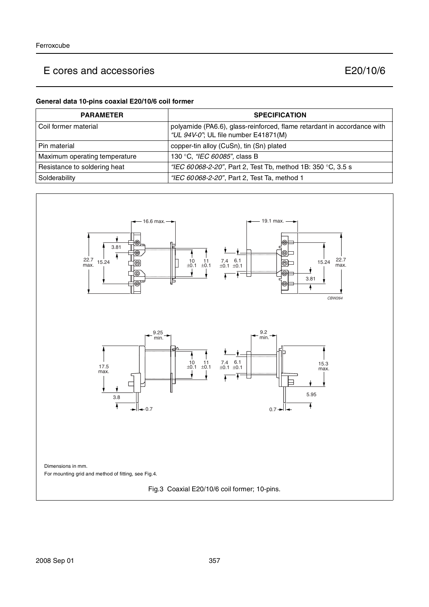## **General data 10-pins coaxial E20/10/6 coil former**

| <b>PARAMETER</b>              | <b>SPECIFICATION</b>                                                                                            |
|-------------------------------|-----------------------------------------------------------------------------------------------------------------|
| Coil former material          | polyamide (PA6.6), glass-reinforced, flame retardant in accordance with<br>"UL 94V-0"; UL file number E41871(M) |
| Pin material                  | copper-tin alloy (CuSn), tin (Sn) plated                                                                        |
| Maximum operating temperature | 130 °C, "IEC 60085", class B                                                                                    |
| Resistance to soldering heat  | "IEC 60068-2-20", Part 2, Test Tb, method 1B: 350 °C, 3.5 s                                                     |
| Solderability                 | "IEC 60068-2-20", Part 2, Test Ta, method 1                                                                     |

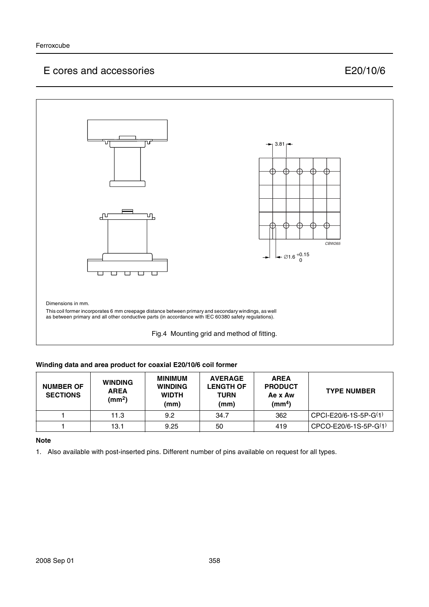

## **Winding data and area product for coaxial E20/10/6 coil former**

| <b>NUMBER OF</b><br><b>SECTIONS</b> | <b>WINDING</b><br><b>AREA</b><br>(mm <sup>2</sup> ) | <b>MINIMUM</b><br><b>WINDING</b><br><b>WIDTH</b><br>(mm) | <b>AVERAGE</b><br><b>LENGTH OF</b><br><b>TURN</b><br>(mm) | <b>AREA</b><br><b>PRODUCT</b><br>Ae x Aw<br>(mm <sup>4</sup> ) | <b>TYPE NUMBER</b>      |
|-------------------------------------|-----------------------------------------------------|----------------------------------------------------------|-----------------------------------------------------------|----------------------------------------------------------------|-------------------------|
|                                     | 11.3                                                | 9.2                                                      | 34.7                                                      | 362                                                            | $CPCI-E20/6-1S-5P-G(1)$ |
|                                     | 13.1                                                | 9.25                                                     | 50                                                        | 419                                                            | CPCO-E20/6-1S-5P-G(1)   |

## **Note**

1. Also available with post-inserted pins. Different number of pins available on request for all types.